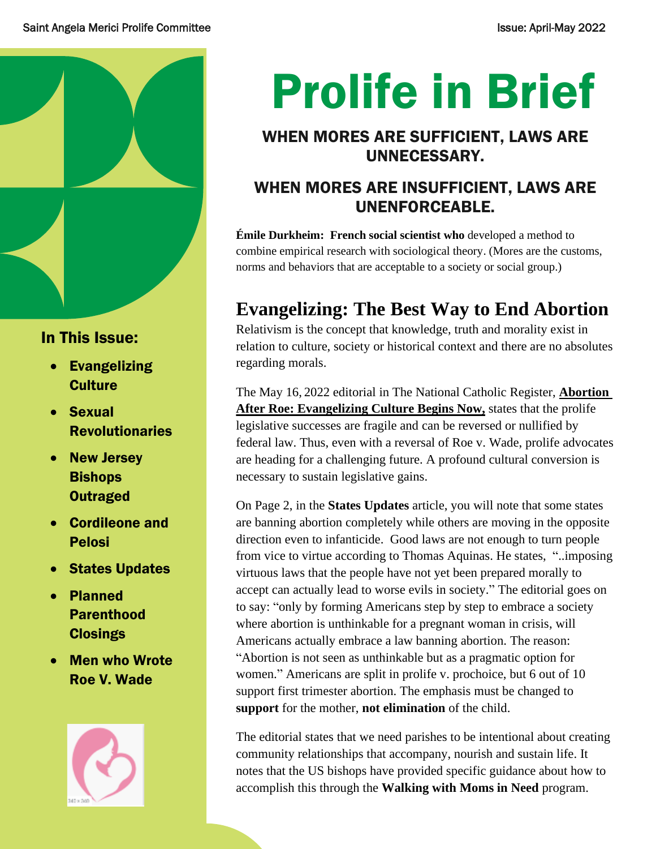

## In This Issue:

- Evangelizing **Culture**
- Sexual Revolutionaries
- New Jersey **Bishops Outraged**
- Cordileone and Pelosi
- States Updates
- Planned Parenthood **Closings**
- **Men who Wrote** Roe V. Wade



# Prolife in Brief

## WHEN MORES ARE SUFFICIENT, LAWS ARE UNNECESSARY.

## WHEN MORES ARE INSUFFICIENT, LAWS ARE UNENFORCEABLE.

**Émile Durkheim: French social scientist who** developed a method to combine empirical research with sociological theory. (Mores are the customs, norms and behaviors that are acceptable to a society or social group.)

## **Evangelizing: The Best Way to End Abortion**

Relativism is the concept that knowledge, truth and morality exist in relation to culture, society or historical context and there are no absolutes regarding morals.

The May 16, 2022 editorial in The National Catholic Register, **Abortion After Roe: Evangelizing Culture Begins Now,** states that the prolife legislative successes are fragile and can be reversed or nullified by federal law. Thus, even with a reversal of Roe v. Wade, prolife advocates are heading for a challenging future. A profound cultural conversion is necessary to sustain legislative gains.

On Page 2, in the **States Updates** article, you will note that some states are banning abortion completely while others are moving in the opposite direction even to infanticide. Good laws are not enough to turn people from vice to virtue according to Thomas Aquinas. He states, "..imposing virtuous laws that the people have not yet been prepared morally to accept can actually lead to worse evils in society." The editorial goes on to say: "only by forming Americans step by step to embrace a society where abortion is unthinkable for a pregnant woman in crisis, will Americans actually embrace a law banning abortion. The reason: "Abortion is not seen as unthinkable but as a pragmatic option for women." Americans are split in prolife v. prochoice, but 6 out of 10 support first trimester abortion. The emphasis must be changed to **support** for the mother, **not elimination** of the child.

The editorial states that we need parishes to be intentional about creating community relationships that accompany, nourish and sustain life. It notes that the US bishops have provided specific guidance about how to accomplish this through the **Walking with Moms in Need** program.